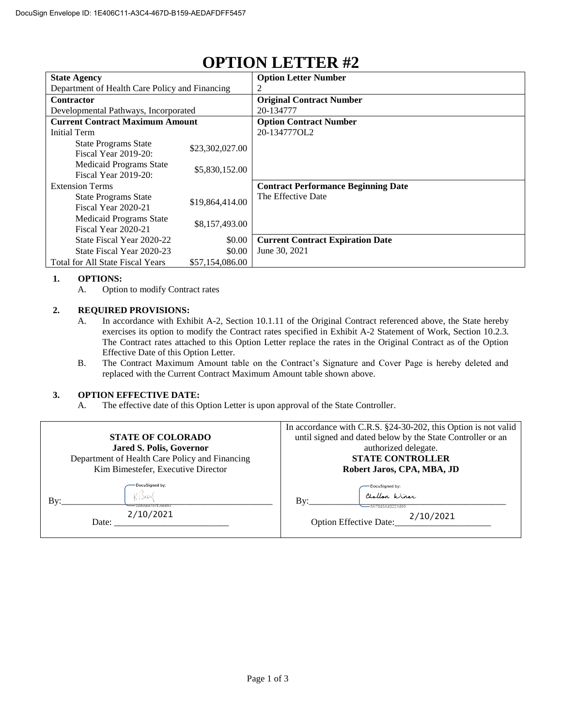| <b>State Agency</b>                                 |                 | <b>Option Letter Number</b>                |
|-----------------------------------------------------|-----------------|--------------------------------------------|
| Department of Health Care Policy and Financing      |                 |                                            |
| Contractor                                          |                 | <b>Original Contract Number</b>            |
| Developmental Pathways, Incorporated                |                 | 20-134777                                  |
| <b>Current Contract Maximum Amount</b>              |                 | <b>Option Contract Number</b>              |
| Initial Term                                        |                 | 20-134777OL2                               |
| <b>State Programs State</b><br>Fiscal Year 2019-20: | \$23,302,027.00 |                                            |
| Medicaid Programs State<br>Fiscal Year 2019-20:     | \$5,830,152.00  |                                            |
| <b>Extension Terms</b>                              |                 | <b>Contract Performance Beginning Date</b> |
| <b>State Programs State</b><br>Fiscal Year 2020-21  | \$19,864,414.00 | The Effective Date                         |
| Medicaid Programs State<br>Fiscal Year 2020-21      | \$8,157,493.00  |                                            |
| State Fiscal Year 2020-22                           | \$0.00          | <b>Current Contract Expiration Date</b>    |
| State Fiscal Year 2020-23                           | \$0.00          | June 30, 2021                              |
| <b>Total for All State Fiscal Years</b>             | \$57,154,086.00 |                                            |

## **OPTION LETTER #2**

## **1. OPTIONS:**

A. Option to modify Contract rates

## **2. REQUIRED PROVISIONS:**

- A. In accordance with Exhibit A-2, Section 10.1.11 of the Original Contract referenced above, the State hereby exercises its option to modify the Contract rates specified in Exhibit A-2 Statement of Work, Section 10.2.3. The Contract rates attached to this Option Letter replace the rates in the Original Contract as of the Option Effective Date of this Option Letter.
- B. The Contract Maximum Amount table on the Contract's Signature and Cover Page is hereby deleted and replaced with the Current Contract Maximum Amount table shown above.

## **3. OPTION EFFECTIVE DATE:**

A. The effective date of this Option Letter is upon approval of the State Controller.

|                                                    | In accordance with C.R.S. §24-30-202, this Option is not valid                                            |  |
|----------------------------------------------------|-----------------------------------------------------------------------------------------------------------|--|
| <b>STATE OF COLORADO</b>                           | until signed and dated below by the State Controller or an                                                |  |
| Jared S. Polis, Governor                           | authorized delegate.                                                                                      |  |
| Department of Health Care Policy and Financing     | <b>STATE CONTROLLER</b>                                                                                   |  |
| Kim Bimestefer, Executive Director                 | Robert Jaros, CPA, MBA, JD                                                                                |  |
| <b>DocuSigned by:</b><br>Bv:<br>2/10/2021<br>Date: | -DocuSigned by:<br>Challon Winer<br>Bv:<br>-6A7B49A4B221490<br>2/10/2021<br><b>Option Effective Date:</b> |  |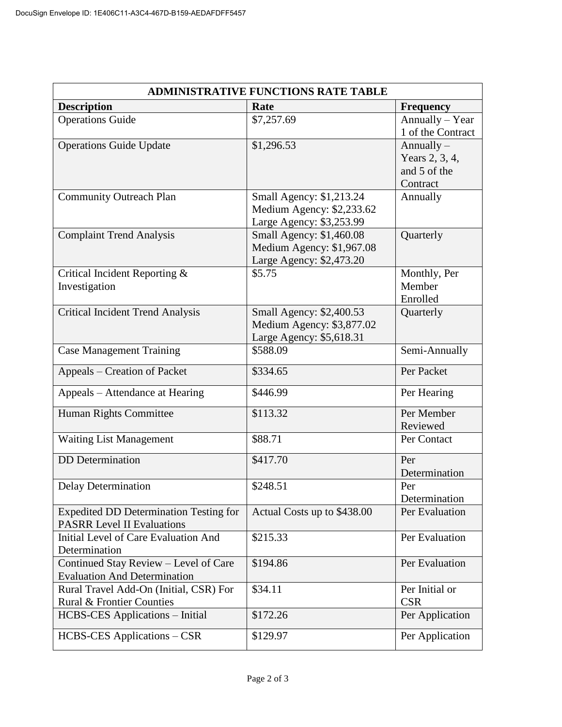| <b>ADMINISTRATIVE FUNCTIONS RATE TABLE</b>                                         |                                                                                   |                                                            |  |  |
|------------------------------------------------------------------------------------|-----------------------------------------------------------------------------------|------------------------------------------------------------|--|--|
| <b>Description</b>                                                                 | Rate                                                                              | <b>Frequency</b>                                           |  |  |
| <b>Operations Guide</b>                                                            | \$7,257.69                                                                        | Annually - Year<br>1 of the Contract                       |  |  |
| <b>Operations Guide Update</b>                                                     | \$1,296.53                                                                        | Annually $-$<br>Years 2, 3, 4,<br>and 5 of the<br>Contract |  |  |
| <b>Community Outreach Plan</b>                                                     | Small Agency: \$1,213.24<br>Medium Agency: \$2,233.62<br>Large Agency: \$3,253.99 | Annually                                                   |  |  |
| <b>Complaint Trend Analysis</b>                                                    | Small Agency: \$1,460.08<br>Medium Agency: \$1,967.08<br>Large Agency: \$2,473.20 | Quarterly                                                  |  |  |
| Critical Incident Reporting &<br>Investigation                                     | \$5.75                                                                            | Monthly, Per<br>Member<br>Enrolled                         |  |  |
| <b>Critical Incident Trend Analysis</b>                                            | Small Agency: \$2,400.53<br>Medium Agency: \$3,877.02<br>Large Agency: \$5,618.31 | Quarterly                                                  |  |  |
| <b>Case Management Training</b>                                                    | \$588.09                                                                          | Semi-Annually                                              |  |  |
| Appeals – Creation of Packet                                                       | \$334.65                                                                          | Per Packet                                                 |  |  |
| Appeals - Attendance at Hearing                                                    | \$446.99                                                                          | Per Hearing                                                |  |  |
| Human Rights Committee                                                             | \$113.32                                                                          | Per Member<br>Reviewed                                     |  |  |
| <b>Waiting List Management</b>                                                     | \$88.71                                                                           | Per Contact                                                |  |  |
| <b>DD</b> Determination                                                            | \$417.70                                                                          | Per<br>Determination                                       |  |  |
| <b>Delay Determination</b>                                                         | \$248.51                                                                          | Per<br>Determination                                       |  |  |
| <b>Expedited DD Determination Testing for</b><br><b>PASRR Level II Evaluations</b> | Actual Costs up to \$438.00                                                       | Per Evaluation                                             |  |  |
| Initial Level of Care Evaluation And<br>Determination                              | \$215.33                                                                          | Per Evaluation                                             |  |  |
| Continued Stay Review - Level of Care<br><b>Evaluation And Determination</b>       | \$194.86                                                                          | Per Evaluation                                             |  |  |
| Rural Travel Add-On (Initial, CSR) For<br><b>Rural &amp; Frontier Counties</b>     | \$34.11                                                                           | Per Initial or<br><b>CSR</b>                               |  |  |
| <b>HCBS-CES</b> Applications – Initial                                             | \$172.26                                                                          | Per Application                                            |  |  |
| HCBS-CES Applications - CSR                                                        | \$129.97                                                                          | Per Application                                            |  |  |